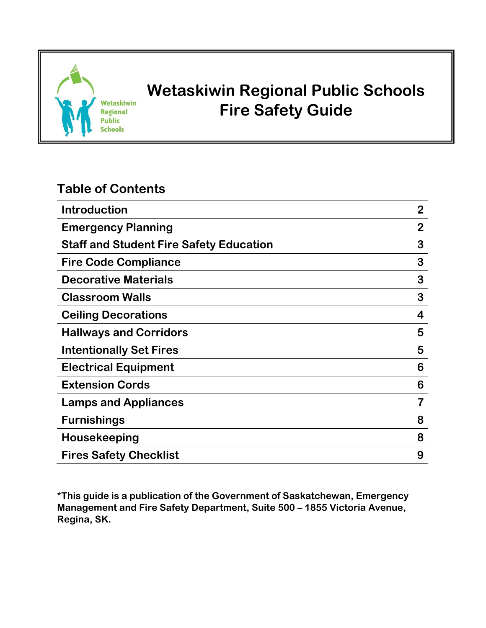

# **Wetaskiwin Regional Public Schools Fire Safety Guide**

## **Table of Contents**

| <b>Introduction</b>                            | $\overline{2}$ |
|------------------------------------------------|----------------|
| <b>Emergency Planning</b>                      | 2              |
| <b>Staff and Student Fire Safety Education</b> | 3              |
| <b>Fire Code Compliance</b>                    | 3              |
| <b>Decorative Materials</b>                    | 3              |
| <b>Classroom Walls</b>                         | 3              |
| <b>Ceiling Decorations</b>                     | 4              |
| <b>Hallways and Corridors</b>                  | 5              |
| <b>Intentionally Set Fires</b>                 | 5              |
| <b>Electrical Equipment</b>                    | 6              |
| <b>Extension Cords</b>                         | 6              |
| <b>Lamps and Appliances</b>                    |                |
| <b>Furnishings</b>                             | 8              |
| Housekeeping                                   | 8              |
| <b>Fires Safety Checklist</b>                  | 9              |

**\*This guide is a publication of the Government of Saskatchewan, Emergency Management and Fire Safety Department, Suite 500 – 1855 Victoria Avenue, Regina, SK.**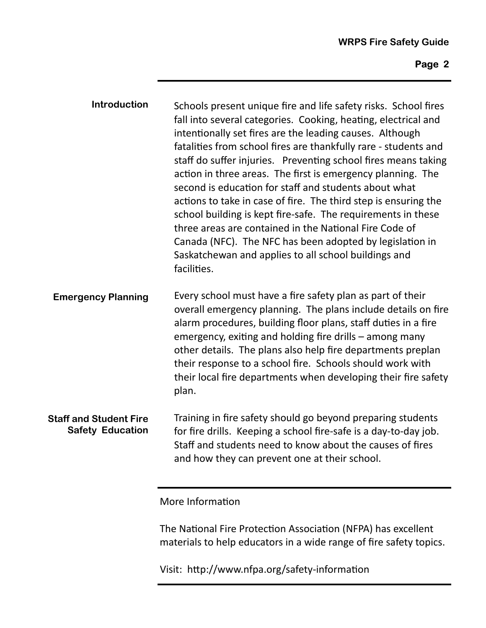| <b>Introduction</b>       | Schools present unique fire and life safety risks. School fires<br>fall into several categories. Cooking, heating, electrical and<br>intentionally set fires are the leading causes. Although<br>fatalities from school fires are thankfully rare - students and<br>staff do suffer injuries. Preventing school fires means taking<br>action in three areas. The first is emergency planning. The<br>second is education for staff and students about what<br>actions to take in case of fire. The third step is ensuring the<br>school building is kept fire-safe. The requirements in these<br>three areas are contained in the National Fire Code of<br>Canada (NFC). The NFC has been adopted by legislation in<br>Saskatchewan and applies to all school buildings and<br>facilities. |
|---------------------------|--------------------------------------------------------------------------------------------------------------------------------------------------------------------------------------------------------------------------------------------------------------------------------------------------------------------------------------------------------------------------------------------------------------------------------------------------------------------------------------------------------------------------------------------------------------------------------------------------------------------------------------------------------------------------------------------------------------------------------------------------------------------------------------------|
| <b>Emergency Planning</b> | Every school must have a fire safety plan as part of their<br>overall emergency planning. The plans include details on fire                                                                                                                                                                                                                                                                                                                                                                                                                                                                                                                                                                                                                                                                |

alarm procedures, building floor plans, staff duties in a fire emergency, exiting and holding fire drills – among many other details. The plans also help fire departments preplan their response to a school fire. Schools should work with their local fire departments when developing their fire safety plan.

Training in fire safety should go beyond preparing students for fire drills. Keeping a school fire‐safe is a day‐to‐day job. Staff and students need to know about the causes of fires and how they can prevent one at their school. **Staff and Student Fire Safety Education** 

More Information

The National Fire Protection Association (NFPA) has excellent materials to help educators in a wide range of fire safety topics.

Visit: http://www.nfpa.org/safety-information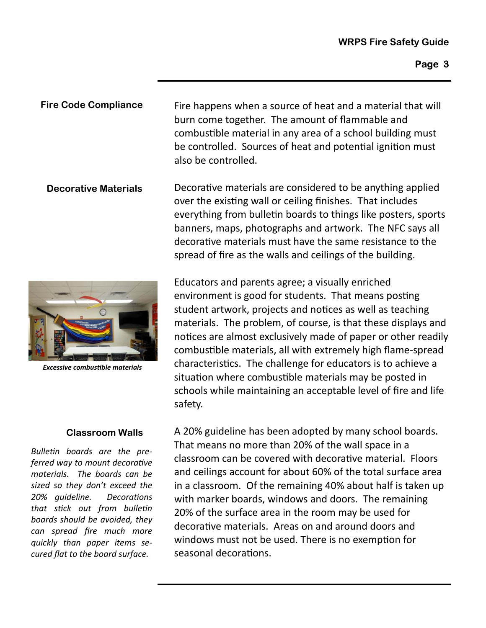Fire happens when a source of heat and a material that will burn come together. The amount of flammable and combustible material in any area of a school building must be controlled. Sources of heat and potential ignition must also be controlled. **Fire Code Compliance** 

Decorative materials are considered to be anything applied over the existing wall or ceiling finishes. That includes everything from bulletin boards to things like posters, sports banners, maps, photographs and artwork. The NFC says all decorative materials must have the same resistance to the spread of fire as the walls and ceilings of the building. **Decorative Materials** 



A 20% guideline has been adopted by many school boards. That means no more than 20% of the wall space in a classroom can be covered with decoraƟve material. Floors and ceilings account for about 60% of the total surface area in a classroom. Of the remaining 40% about half is taken up with marker boards, windows and doors. The remaining 20% of the surface area in the room may be used for decorative materials. Areas on and around doors and windows must not be used. There is no exemption for seasonal decorations.



*Excessive combusƟble materials* 

#### **Classroom Walls**

*BulleƟn boards are the preferred way to mount decoraƟve materials. The boards can be sized so they don't exceed the 20% guideline. DecoraƟons that sƟck out from bulleƟn boards should be avoided, they can spread fire much more quickly than paper items secured flat to the board surface.*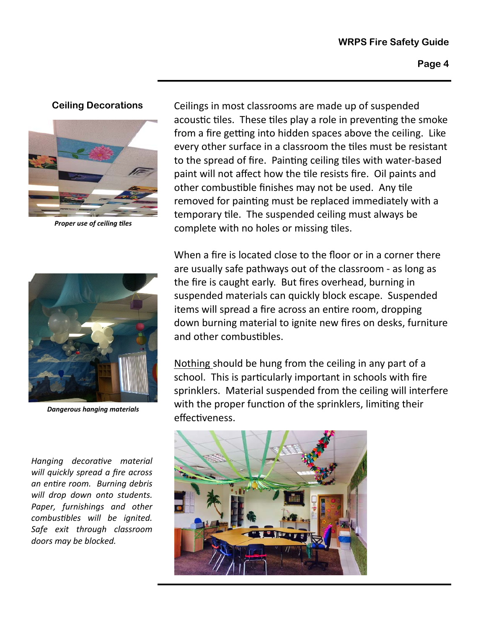#### **Ceiling Decorations**



*Proper use of ceiling Ɵles* 



*Dangerous hanging materials* 

*Hanging decoraƟve material will quickly spread a fire across an enƟre room. Burning debris will drop down onto students. Paper, furnishings and other combusƟbles will be ignited. Safe exit through classroom doors may be blocked.*

Ceilings in most classrooms are made up of suspended acoustic tiles. These tiles play a role in preventing the smoke from a fire getting into hidden spaces above the ceiling. Like every other surface in a classroom the tiles must be resistant to the spread of fire. Painting ceiling tiles with water-based paint will not affect how the tile resists fire. Oil paints and other combustible finishes may not be used. Any tile removed for painting must be replaced immediately with a temporary tile. The suspended ceiling must always be complete with no holes or missing tiles.

When a fire is located close to the floor or in a corner there are usually safe pathways out of the classroom ‐ as long as the fire is caught early. But fires overhead, burning in suspended materials can quickly block escape. Suspended items will spread a fire across an entire room, dropping down burning material to ignite new fires on desks, furniture and other combustibles.

Nothing should be hung from the ceiling in any part of a school. This is particularly important in schools with fire sprinklers. Material suspended from the ceiling will interfere with the proper function of the sprinklers, limiting their effectiveness.

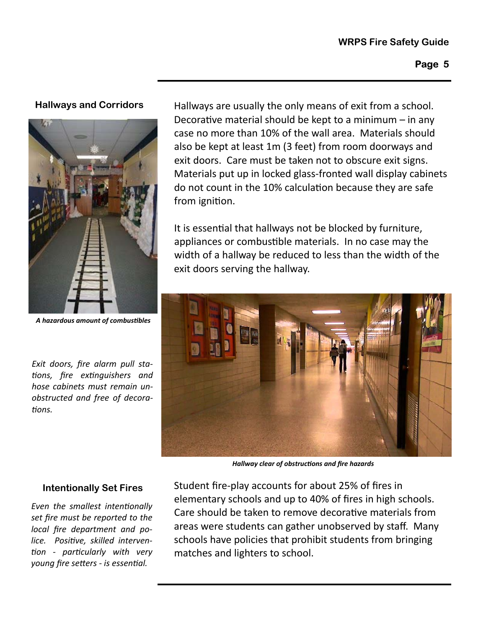### **Hallways and Corridors**



*A hazardous amount of combusƟbles* 

*Exit doors, fire alarm pull sta-Ɵons, fire exƟnguishers and hose cabinets must remain unobstructed and free of decora-Ɵons.*

Hallways are usually the only means of exit from a school. Decorative material should be kept to a minimum  $-$  in any case no more than 10% of the wall area. Materials should also be kept at least 1m (3 feet) from room doorways and exit doors. Care must be taken not to obscure exit signs. Materials put up in locked glass‐fronted wall display cabinets do not count in the 10% calculation because they are safe from ignition.

It is essential that hallways not be blocked by furniture, appliances or combustible materials. In no case may the width of a hallway be reduced to less than the width of the exit doors serving the hallway.



*Hallway clear of obstrucƟons and fire hazards* 

#### **Intentionally Set Fires**

*Even* the *smallest intentionally set fire must be reported to the local fire department and police. PosiƟve, skilled interven-Ɵon - parƟcularly with very young fire seƩers - is essenƟal.* 

Student fire‐play accounts for about 25% of fires in elementary schools and up to 40% of fires in high schools. Care should be taken to remove decorative materials from areas were students can gather unobserved by staff. Many schools have policies that prohibit students from bringing matches and lighters to school.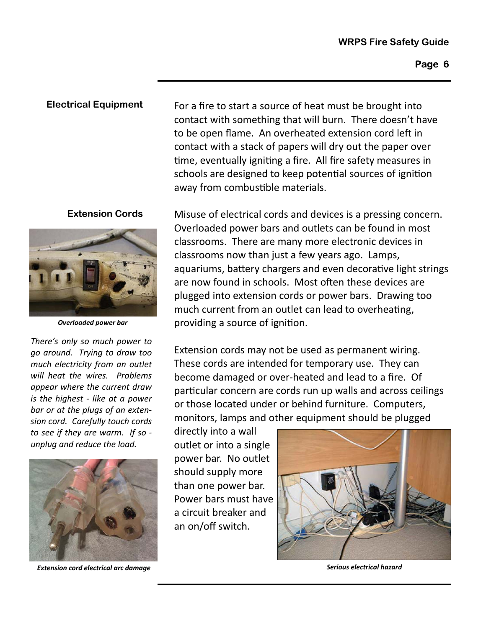#### **Electrical Equipment**

#### **Extension Cords**



*Overloaded power bar* 

*There's only so much power to go around. Trying to draw too much electricity from an outlet will heat the wires. Problems appear where the current draw is the highest - like at a power bar or at the plugs of an extension cord. Carefully touch cords to see if they are warm. If so unplug and reduce the load.*



**Extension cord electrical arc damage Serious electrical hazard Serious electrical hazard Serious electrical hazard** 

For a fire to start a source of heat must be brought into contact with something that will burn. There doesn't have to be open flame. An overheated extension cord left in contact with a stack of papers will dry out the paper over time, eventually igniting a fire. All fire safety measures in schools are designed to keep potential sources of ignition away from combustible materials.

Misuse of electrical cords and devices is a pressing concern. Overloaded power bars and outlets can be found in most classrooms. There are many more electronic devices in classrooms now than just a few years ago. Lamps, aquariums, battery chargers and even decorative light strings are now found in schools. Most often these devices are plugged into extension cords or power bars. Drawing too much current from an outlet can lead to overheating, providing a source of ignition.

Extension cords may not be used as permanent wiring. These cords are intended for temporary use. They can become damaged or over‐heated and lead to a fire. Of particular concern are cords run up walls and across ceilings or those located under or behind furniture. Computers, monitors, lamps and other equipment should be plugged

directly into a wall outlet or into a single power bar. No outlet should supply more than one power bar. Power bars must have a circuit breaker and an on/off switch.

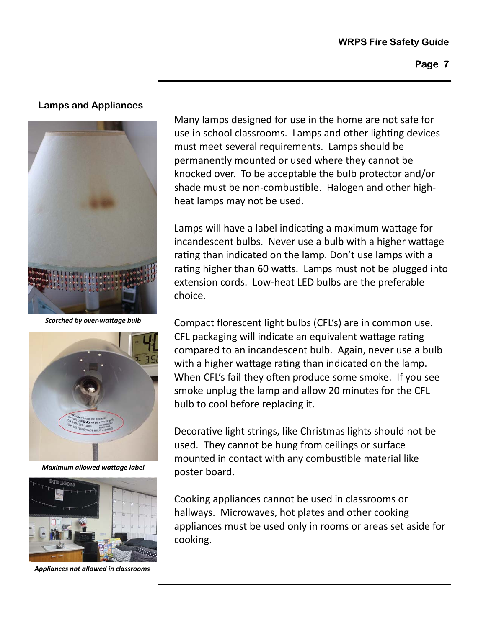#### **Lamps and Appliances**



*Scorched by over‐waƩage bulb* 



*Maximum allowed waƩage label* 



*Appliances not allowed in classrooms* 

Many lamps designed for use in the home are not safe for use in school classrooms. Lamps and other lighting devices must meet several requirements. Lamps should be permanently mounted or used where they cannot be knocked over. To be acceptable the bulb protector and/or shade must be non-combustible. Halogen and other highheat lamps may not be used.

Lamps will have a label indicating a maximum wattage for incandescent bulbs. Never use a bulb with a higher wattage rating than indicated on the lamp. Don't use lamps with a rating higher than 60 watts. Lamps must not be plugged into extension cords. Low‐heat LED bulbs are the preferable choice.

Compact florescent light bulbs (CFL's) are in common use. CFL packaging will indicate an equivalent wattage rating compared to an incandescent bulb. Again, never use a bulb with a higher wattage rating than indicated on the lamp. When CFL's fail they often produce some smoke. If you see smoke unplug the lamp and allow 20 minutes for the CFL bulb to cool before replacing it.

Decorative light strings, like Christmas lights should not be used. They cannot be hung from ceilings or surface mounted in contact with any combustible material like poster board.

Cooking appliances cannot be used in classrooms or hallways. Microwaves, hot plates and other cooking appliances must be used only in rooms or areas set aside for cooking.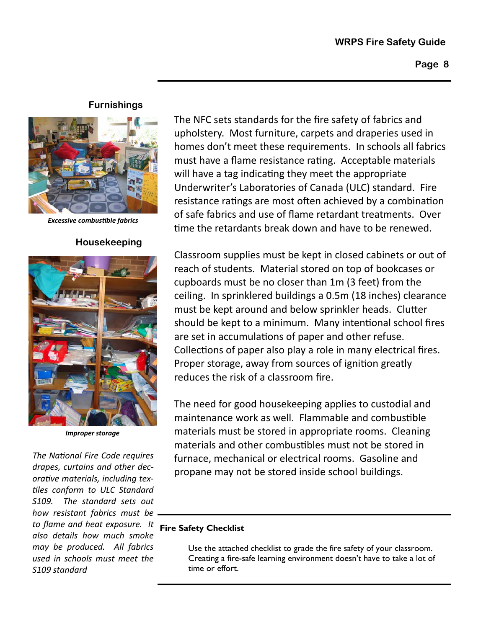#### **WRPS Fire Safety Guide**

#### **Furnishings**



*Excessive combusƟble fabrics* 

#### **Housekeeping**



*Improper storage* 

**Fire Safety Checklist**  *to flame and heat exposure. It The NaƟonal Fire Code requires drapes, curtains and other decoraƟve materials, including tex-Ɵles conform to ULC Standard S109. The standard sets out how resistant fabrics must be also details how much smoke may be produced. All fabrics used in schools must meet the S109 standard*

The NFC sets standards for the fire safety of fabrics and upholstery. Most furniture, carpets and draperies used in homes don't meet these requirements. In schools all fabrics must have a flame resistance rating. Acceptable materials will have a tag indicating they meet the appropriate Underwriter's Laboratories of Canada (ULC) standard. Fire resistance ratings are most often achieved by a combination of safe fabrics and use of flame retardant treatments. Over time the retardants break down and have to be renewed.

Classroom supplies must be kept in closed cabinets or out of reach of students. Material stored on top of bookcases or cupboards must be no closer than 1m (3 feet) from the ceiling. In sprinklered buildings a 0.5m (18 inches) clearance must be kept around and below sprinkler heads. Clutter should be kept to a minimum. Many intentional school fires are set in accumulations of paper and other refuse. Collections of paper also play a role in many electrical fires. Proper storage, away from sources of ignition greatly reduces the risk of a classroom fire.

The need for good housekeeping applies to custodial and maintenance work as well. Flammable and combustible materials must be stored in appropriate rooms. Cleaning materials and other combustibles must not be stored in furnace, mechanical or electrical rooms. Gasoline and propane may not be stored inside school buildings.

Use the attached checklist to grade the fire safety of your classroom. Creating a fire-safe learning environment doesn't have to take a lot of time or effort.